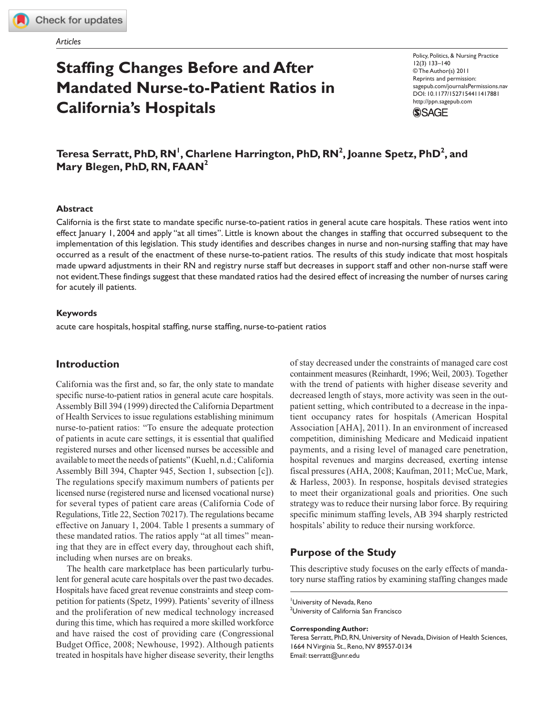*Articles*

# **Staffing Changes Before and After Mandated Nurse-to-Patient Ratios in California's Hospitals**

Policy, Politics, & Nursing Practice 12(3) 133–140 © The Author(s) 2011 Reprints and permission: sagepub.com/journalsPermissions.nav DOI: 10.1177/1527154411417881 http://ppn.sagepub.com



## $\mathsf{T}$ eresa Serratt, PhD, RN<sup>I</sup>, Charlene Harrington, PhD, RN<sup>2</sup>, Joanne Spetz, PhD<sup>2</sup>, and **Mary Blegen, PhD, RN, FAAN2**

#### **Abstract**

California is the first state to mandate specific nurse-to-patient ratios in general acute care hospitals. These ratios went into effect January 1, 2004 and apply "at all times". Little is known about the changes in staffing that occurred subsequent to the implementation of this legislation. This study identifies and describes changes in nurse and non-nursing staffing that may have occurred as a result of the enactment of these nurse-to-patient ratios. The results of this study indicate that most hospitals made upward adjustments in their RN and registry nurse staff but decreases in support staff and other non-nurse staff were not evident. These findings suggest that these mandated ratios had the desired effect of increasing the number of nurses caring for acutely ill patients.

#### **Keywords**

acute care hospitals, hospital staffing, nurse staffing, nurse-to-patient ratios

## **Introduction**

California was the first and, so far, the only state to mandate specific nurse-to-patient ratios in general acute care hospitals. Assembly Bill 394 (1999) directed the California Department of Health Services to issue regulations establishing minimum nurse-to-patient ratios: "To ensure the adequate protection of patients in acute care settings, it is essential that qualified registered nurses and other licensed nurses be accessible and available to meet the needs of patients" (Kuehl, n.d.; California Assembly Bill 394, Chapter 945, Section 1, subsection [c]). The regulations specify maximum numbers of patients per licensed nurse (registered nurse and licensed vocational nurse) for several types of patient care areas (California Code of Regulations, Title 22, Section 70217). The regulations became effective on January 1, 2004. Table 1 presents a summary of these mandated ratios. The ratios apply "at all times" meaning that they are in effect every day, throughout each shift, including when nurses are on breaks.

The health care marketplace has been particularly turbulent for general acute care hospitals over the past two decades. Hospitals have faced great revenue constraints and steep competition for patients (Spetz, 1999). Patients' severity of illness and the proliferation of new medical technology increased during this time, which has required a more skilled workforce and have raised the cost of providing care (Congressional Budget Office, 2008; Newhouse, 1992). Although patients treated in hospitals have higher disease severity, their lengths of stay decreased under the constraints of managed care cost containment measures (Reinhardt, 1996; Weil, 2003). Together with the trend of patients with higher disease severity and decreased length of stays, more activity was seen in the outpatient setting, which contributed to a decrease in the inpatient occupancy rates for hospitals (American Hospital Association [AHA], 2011). In an environment of increased competition, diminishing Medicare and Medicaid inpatient payments, and a rising level of managed care penetration, hospital revenues and margins decreased, exerting intense fiscal pressures (AHA, 2008; Kaufman, 2011; McCue, Mark, & Harless, 2003). In response, hospitals devised strategies to meet their organizational goals and priorities. One such strategy was to reduce their nursing labor force. By requiring specific minimum staffing levels, AB 394 sharply restricted hospitals' ability to reduce their nursing workforce.

## **Purpose of the Study**

This descriptive study focuses on the early effects of mandatory nurse staffing ratios by examining staffing changes made

University of Nevada, Reno 2 University of California San Francisco

#### **Corresponding Author:**

Teresa Serratt, PhD, RN, University of Nevada, Division of Health Sciences, 1664 N Virginia St., Reno, NV 89557-0134 Email: tserratt@unr.edu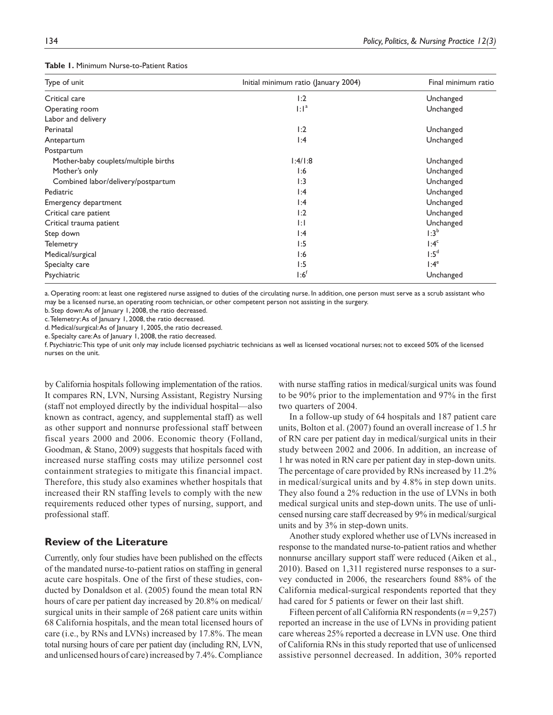| Type of unit                         | Initial minimum ratio (January 2004) | Final minimum ratio |
|--------------------------------------|--------------------------------------|---------------------|
| Critical care                        | 1:2                                  | Unchanged           |
| Operating room                       | $\left  \cdot \right $ <sup>a</sup>  | Unchanged           |
| Labor and delivery                   |                                      |                     |
| Perinatal                            | 1:2                                  | Unchanged           |
| Antepartum                           | 1:4                                  | Unchanged           |
| Postpartum                           |                                      |                     |
| Mother-baby couplets/multiple births | 1:4/1:8                              | Unchanged           |
| Mother's only                        | 1:6                                  | Unchanged           |
| Combined labor/delivery/postpartum   | 1:3                                  | Unchanged           |
| Pediatric                            | 1:4                                  | Unchanged           |
| Emergency department                 | 1:4                                  | Unchanged           |
| Critical care patient                | 1:2                                  | Unchanged           |
| Critical trauma patient              | $\vert \cdot \vert$                  | Unchanged           |
| Step down                            | 1:4                                  | 1:3 <sup>b</sup>    |
| Telemetry                            | 1:5                                  | $1:4^c$             |
| Medical/surgical                     | 1:6                                  | 1:5 <sup>d</sup>    |
| Specialty care                       | 1:5                                  | $1:4^e$             |
| Psychiatric                          | 1:6'                                 | Unchanged           |

#### **Table 1.** Minimum Nurse-to-Patient Ratios

a. Operating room: at least one registered nurse assigned to duties of the circulating nurse. In addition, one person must serve as a scrub assistant who may be a licensed nurse, an operating room technician, or other competent person not assisting in the surgery.

b. Step down: As of January 1, 2008, the ratio decreased.

c. Telemetry: As of January 1, 2008, the ratio decreased.

d. Medical/surgical: As of January 1, 2005, the ratio decreased.

e. Specialty care: As of January 1, 2008, the ratio decreased.

f. Psychiatric: This type of unit only may include licensed psychiatric technicians as well as licensed vocational nurses; not to exceed 50% of the licensed nurses on the unit.

by California hospitals following implementation of the ratios. It compares RN, LVN, Nursing Assistant, Registry Nursing (staff not employed directly by the individual hospital—also known as contract, agency, and supplemental staff) as well as other support and nonnurse professional staff between fiscal years 2000 and 2006. Economic theory (Folland, Goodman, & Stano, 2009) suggests that hospitals faced with increased nurse staffing costs may utilize personnel cost containment strategies to mitigate this financial impact. Therefore, this study also examines whether hospitals that increased their RN staffing levels to comply with the new requirements reduced other types of nursing, support, and professional staff.

#### **Review of the Literature**

Currently, only four studies have been published on the effects of the mandated nurse-to-patient ratios on staffing in general acute care hospitals. One of the first of these studies, conducted by Donaldson et al. (2005) found the mean total RN hours of care per patient day increased by 20.8% on medical/ surgical units in their sample of 268 patient care units within 68 California hospitals, and the mean total licensed hours of care (i.e., by RNs and LVNs) increased by 17.8%. The mean total nursing hours of care per patient day (including RN, LVN, and unlicensed hours of care) increased by 7.4%. Compliance with nurse staffing ratios in medical/surgical units was found to be 90% prior to the implementation and 97% in the first two quarters of 2004.

In a follow-up study of 64 hospitals and 187 patient care units, Bolton et al. (2007) found an overall increase of 1.5 hr of RN care per patient day in medical/surgical units in their study between 2002 and 2006. In addition, an increase of 1 hr was noted in RN care per patient day in step-down units. The percentage of care provided by RNs increased by 11.2% in medical/surgical units and by 4.8% in step down units. They also found a 2% reduction in the use of LVNs in both medical surgical units and step-down units. The use of unlicensed nursing care staff decreased by 9% in medical/surgical units and by 3% in step-down units.

Another study explored whether use of LVNs increased in response to the mandated nurse-to-patient ratios and whether nonnurse ancillary support staff were reduced (Aiken et al., 2010). Based on 1,311 registered nurse responses to a survey conducted in 2006, the researchers found 88% of the California medical-surgical respondents reported that they had cared for 5 patients or fewer on their last shift.

Fifteen percent of all California RN respondents (*n* = 9,257) reported an increase in the use of LVNs in providing patient care whereas 25% reported a decrease in LVN use. One third of California RNs in this study reported that use of unlicensed assistive personnel decreased. In addition, 30% reported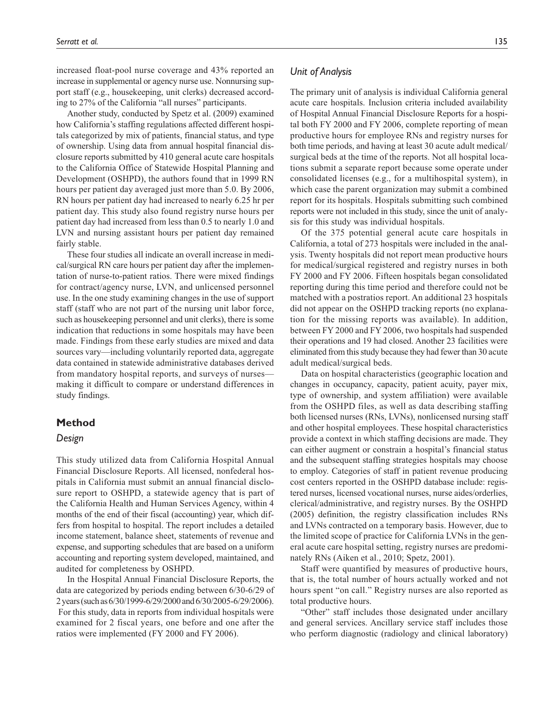increased float-pool nurse coverage and 43% reported an increase in supplemental or agency nurse use. Nonnursing support staff (e.g., housekeeping, unit clerks) decreased according to 27% of the California "all nurses" participants.

Another study, conducted by Spetz et al. (2009) examined how California's staffing regulations affected different hospitals categorized by mix of patients, financial status, and type of ownership. Using data from annual hospital financial disclosure reports submitted by 410 general acute care hospitals to the California Office of Statewide Hospital Planning and Development (OSHPD), the authors found that in 1999 RN hours per patient day averaged just more than 5.0. By 2006, RN hours per patient day had increased to nearly 6.25 hr per patient day. This study also found registry nurse hours per patient day had increased from less than 0.5 to nearly 1.0 and LVN and nursing assistant hours per patient day remained fairly stable.

These four studies all indicate an overall increase in medical/surgical RN care hours per patient day after the implementation of nurse-to-patient ratios. There were mixed findings for contract/agency nurse, LVN, and unlicensed personnel use. In the one study examining changes in the use of support staff (staff who are not part of the nursing unit labor force, such as housekeeping personnel and unit clerks), there is some indication that reductions in some hospitals may have been made. Findings from these early studies are mixed and data sources vary—including voluntarily reported data, aggregate data contained in statewide administrative databases derived from mandatory hospital reports, and surveys of nurses making it difficult to compare or understand differences in study findings.

#### **Method**

#### *Design*

This study utilized data from California Hospital Annual Financial Disclosure Reports. All licensed, nonfederal hospitals in California must submit an annual financial disclosure report to OSHPD, a statewide agency that is part of the California Health and Human Services Agency, within 4 months of the end of their fiscal (accounting) year, which differs from hospital to hospital. The report includes a detailed income statement, balance sheet, statements of revenue and expense, and supporting schedules that are based on a uniform accounting and reporting system developed, maintained, and audited for completeness by OSHPD.

In the Hospital Annual Financial Disclosure Reports, the data are categorized by periods ending between 6/30-6/29 of 2 years (such as 6/30/1999-6/29/2000 and 6/30/2005-6/29/2006). For this study, data in reports from individual hospitals were examined for 2 fiscal years, one before and one after the ratios were implemented (FY 2000 and FY 2006).

#### *Unit of Analysis*

The primary unit of analysis is individual California general acute care hospitals. Inclusion criteria included availability of Hospital Annual Financial Disclosure Reports for a hospital both FY 2000 and FY 2006, complete reporting of mean productive hours for employee RNs and registry nurses for both time periods, and having at least 30 acute adult medical/ surgical beds at the time of the reports. Not all hospital locations submit a separate report because some operate under consolidated licenses (e.g., for a multihospital system), in which case the parent organization may submit a combined report for its hospitals. Hospitals submitting such combined reports were not included in this study, since the unit of analysis for this study was individual hospitals.

Of the 375 potential general acute care hospitals in California, a total of 273 hospitals were included in the analysis. Twenty hospitals did not report mean productive hours for medical/surgical registered and registry nurses in both FY 2000 and FY 2006. Fifteen hospitals began consolidated reporting during this time period and therefore could not be matched with a postratios report. An additional 23 hospitals did not appear on the OSHPD tracking reports (no explanation for the missing reports was available). In addition, between FY 2000 and FY 2006, two hospitals had suspended their operations and 19 had closed. Another 23 facilities were eliminated from this study because they had fewer than 30 acute adult medical/surgical beds.

Data on hospital characteristics (geographic location and changes in occupancy, capacity, patient acuity, payer mix, type of ownership, and system affiliation) were available from the OSHPD files, as well as data describing staffing both licensed nurses (RNs, LVNs), nonlicensed nursing staff and other hospital employees. These hospital characteristics provide a context in which staffing decisions are made. They can either augment or constrain a hospital's financial status and the subsequent staffing strategies hospitals may choose to employ. Categories of staff in patient revenue producing cost centers reported in the OSHPD database include: registered nurses, licensed vocational nurses, nurse aides/orderlies, clerical/administrative, and registry nurses. By the OSHPD (2005) definition, the registry classification includes RNs and LVNs contracted on a temporary basis. However, due to the limited scope of practice for California LVNs in the general acute care hospital setting, registry nurses are predominately RNs (Aiken et al., 2010; Spetz, 2001).

Staff were quantified by measures of productive hours, that is, the total number of hours actually worked and not hours spent "on call." Registry nurses are also reported as total productive hours.

"Other" staff includes those designated under ancillary and general services. Ancillary service staff includes those who perform diagnostic (radiology and clinical laboratory)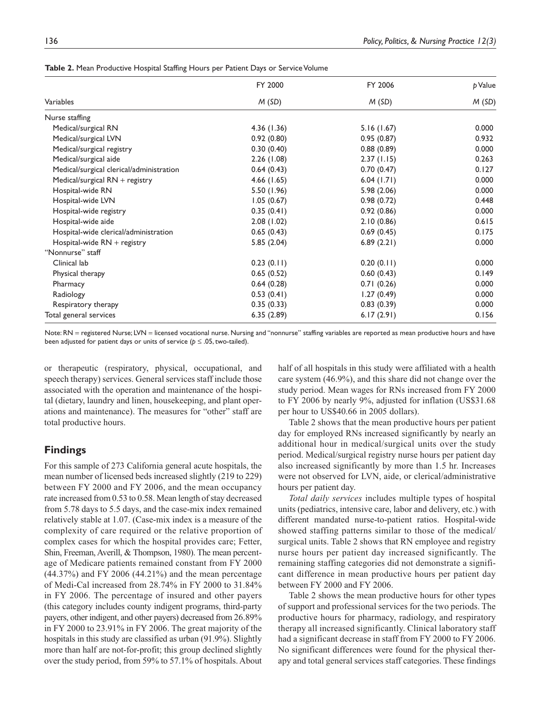|                                          | FY 2000     | FY 2006    | p Value |  |
|------------------------------------------|-------------|------------|---------|--|
| Variables                                | M(SD)       | M(SD)      | M(SD)   |  |
| Nurse staffing                           |             |            |         |  |
| Medical/surgical RN                      | 4.36(1.36)  | 5.16(1.67) | 0.000   |  |
| Medical/surgical LVN                     | 0.92(0.80)  | 0.95(0.87) | 0.932   |  |
| Medical/surgical registry                | 0.30(0.40)  | 0.88(0.89) | 0.000   |  |
| Medical/surgical aide                    | 2.26(1.08)  | 2.37(1.15) | 0.263   |  |
| Medical/surgical clerical/administration | 0.64(0.43)  | 0.70(0.47) | 0.127   |  |
| Medical/surgical $RN +$ registry         | 4.66(1.65)  | 6.04(1.71) | 0.000   |  |
| Hospital-wide RN                         | 5.50 (1.96) | 5.98(2.06) | 0.000   |  |
| Hospital-wide LVN                        | 1.05(0.67)  | 0.98(0.72) | 0.448   |  |
| Hospital-wide registry                   | 0.35(0.41)  | 0.92(0.86) | 0.000   |  |
| Hospital-wide aide                       | 2.08(1.02)  | 2.10(0.86) | 0.615   |  |
| Hospital-wide clerical/administration    | 0.65(0.43)  | 0.69(0.45) | 0.175   |  |
| Hospital-wide $RN +$ registry            | 5.85(2.04)  | 6.89(2.21) | 0.000   |  |
| "Nonnurse" staff                         |             |            |         |  |
| Clinical lab                             | 0.23(0.11)  | 0.20(0.11) | 0.000   |  |
| Physical therapy                         | 0.65(0.52)  | 0.60(0.43) | 0.149   |  |
| Pharmacy                                 | 0.64(0.28)  | 0.71(0.26) | 0.000   |  |
| Radiology                                | 0.53(0.41)  | 1.27(0.49) | 0.000   |  |
| Respiratory therapy                      | 0.35(0.33)  | 0.83(0.39) | 0.000   |  |
| Total general services                   | 6.35(2.89)  | 6.17(2.91) | 0.156   |  |

|  |  | Table 2. Mean Productive Hospital Staffing Hours per Patient Days or Service Volume |
|--|--|-------------------------------------------------------------------------------------|
|  |  |                                                                                     |

Note: RN = registered Nurse; LVN = licensed vocational nurse. Nursing and "nonnurse" staffing variables are reported as mean productive hours and have been adjusted for patient days or units of service ( $p \le 0.05$ , two-tailed).

or therapeutic (respiratory, physical, occupational, and speech therapy) services. General services staff include those associated with the operation and maintenance of the hospital (dietary, laundry and linen, housekeeping, and plant operations and maintenance). The measures for "other" staff are total productive hours.

## **Findings**

For this sample of 273 California general acute hospitals, the mean number of licensed beds increased slightly (219 to 229) between FY 2000 and FY 2006, and the mean occupancy rate increased from 0.53 to 0.58. Mean length of stay decreased from 5.78 days to 5.5 days, and the case-mix index remained relatively stable at 1.07. (Case-mix index is a measure of the complexity of care required or the relative proportion of complex cases for which the hospital provides care; Fetter, Shin, Freeman, Averill, & Thompson, 1980). The mean percentage of Medicare patients remained constant from FY 2000 (44.37%) and FY 2006 (44.21%) and the mean percentage of Medi-Cal increased from 28.74% in FY 2000 to 31.84% in FY 2006. The percentage of insured and other payers (this category includes county indigent programs, third-party payers, other indigent, and other payers) decreased from 26.89% in FY 2000 to 23.91% in FY 2006. The great majority of the hospitals in this study are classified as urban (91.9%). Slightly more than half are not-for-profit; this group declined slightly over the study period, from 59% to 57.1% of hospitals. About half of all hospitals in this study were affiliated with a health care system (46.9%), and this share did not change over the study period. Mean wages for RNs increased from FY 2000 to FY 2006 by nearly 9%, adjusted for inflation (US\$31.68 per hour to US\$40.66 in 2005 dollars).

Table 2 shows that the mean productive hours per patient day for employed RNs increased significantly by nearly an additional hour in medical/surgical units over the study period. Medical/surgical registry nurse hours per patient day also increased significantly by more than 1.5 hr. Increases were not observed for LVN, aide, or clerical/administrative hours per patient day.

*Total daily services* includes multiple types of hospital units (pediatrics, intensive care, labor and delivery, etc.) with different mandated nurse-to-patient ratios. Hospital-wide showed staffing patterns similar to those of the medical/ surgical units. Table 2 shows that RN employee and registry nurse hours per patient day increased significantly. The remaining staffing categories did not demonstrate a significant difference in mean productive hours per patient day between FY 2000 and FY 2006.

Table 2 shows the mean productive hours for other types of support and professional services for the two periods. The productive hours for pharmacy, radiology, and respiratory therapy all increased significantly. Clinical laboratory staff had a significant decrease in staff from FY 2000 to FY 2006. No significant differences were found for the physical therapy and total general services staff categories. These findings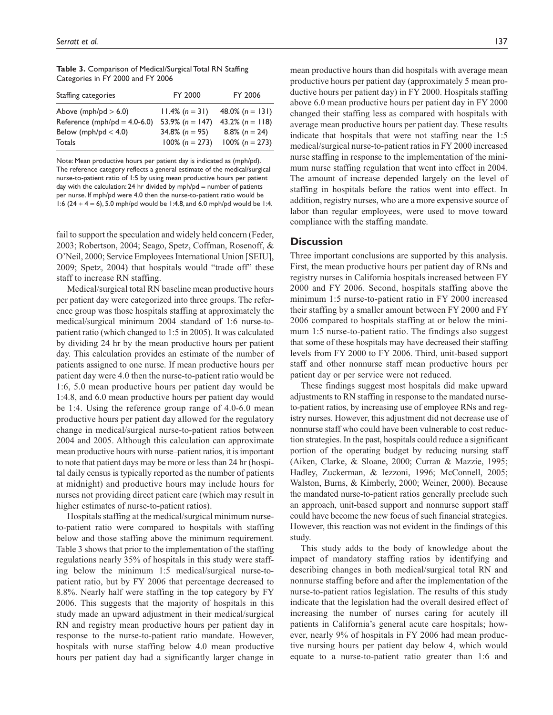**Table 3.** Comparison of Medical/Surgical Total RN Staffing Categories in FY 2000 and FY 2006

| FY 2000             | FY 2006           |
|---------------------|-------------------|
| $11.4\%$ (n = 31)   | 48.0% $(n = 131)$ |
| 53.9% ( $n = 147$ ) | 43.2% $(n = 118)$ |
| $34.8\%$ (n = 95)   | 8.8% $(n = 24)$   |
| $100\% (n = 273)$   | $100\% (n = 273)$ |
|                     |                   |

Note: Mean productive hours per patient day is indicated as (mph/pd). The reference category reflects a general estimate of the medical/surgical nurse-to-patient ratio of 1:5 by using mean productive hours per patient day with the calculation: 24 hr divided by mph/pd = number of patients per nurse. If mph/pd were 4.0 then the nurse-to-patient ratio would be 1:6 (24  $\div$  4 = 6), 5.0 mph/pd would be 1:4.8, and 6.0 mph/pd would be 1:4.

fail to support the speculation and widely held concern (Feder, 2003; Robertson, 2004; Seago, Spetz, Coffman, Rosenoff, & O'Neil, 2000; Service Employees International Union [SEIU], 2009; Spetz, 2004) that hospitals would "trade off" these staff to increase RN staffing.

Medical/surgical total RN baseline mean productive hours per patient day were categorized into three groups. The reference group was those hospitals staffing at approximately the medical/surgical minimum 2004 standard of 1:6 nurse-topatient ratio (which changed to 1:5 in 2005). It was calculated by dividing 24 hr by the mean productive hours per patient day. This calculation provides an estimate of the number of patients assigned to one nurse. If mean productive hours per patient day were 4.0 then the nurse-to-patient ratio would be 1:6, 5.0 mean productive hours per patient day would be 1:4.8, and 6.0 mean productive hours per patient day would be 1:4. Using the reference group range of 4.0-6.0 mean productive hours per patient day allowed for the regulatory change in medical/surgical nurse-to-patient ratios between 2004 and 2005. Although this calculation can approximate mean productive hours with nurse–patient ratios, it is important to note that patient days may be more or less than 24 hr (hospital daily census is typically reported as the number of patients at midnight) and productive hours may include hours for nurses not providing direct patient care (which may result in higher estimates of nurse-to-patient ratios).

Hospitals staffing at the medical/surgical minimum nurseto-patient ratio were compared to hospitals with staffing below and those staffing above the minimum requirement. Table 3 shows that prior to the implementation of the staffing regulations nearly 35% of hospitals in this study were staffing below the minimum 1:5 medical/surgical nurse-topatient ratio, but by FY 2006 that percentage decreased to 8.8%. Nearly half were staffing in the top category by FY 2006. This suggests that the majority of hospitals in this study made an upward adjustment in their medical/surgical RN and registry mean productive hours per patient day in response to the nurse-to-patient ratio mandate. However, hospitals with nurse staffing below 4.0 mean productive hours per patient day had a significantly larger change in

mean productive hours than did hospitals with average mean productive hours per patient day (approximately 5 mean productive hours per patient day) in FY 2000. Hospitals staffing above 6.0 mean productive hours per patient day in FY 2000 changed their staffing less as compared with hospitals with average mean productive hours per patient day. These results indicate that hospitals that were not staffing near the 1:5 medical/surgical nurse-to-patient ratios in FY 2000 increased nurse staffing in response to the implementation of the minimum nurse staffing regulation that went into effect in 2004. The amount of increase depended largely on the level of staffing in hospitals before the ratios went into effect. In addition, registry nurses, who are a more expensive source of labor than regular employees, were used to move toward compliance with the staffing mandate.

#### **Discussion**

Three important conclusions are supported by this analysis. First, the mean productive hours per patient day of RNs and registry nurses in California hospitals increased between FY 2000 and FY 2006. Second, hospitals staffing above the minimum 1:5 nurse-to-patient ratio in FY 2000 increased their staffing by a smaller amount between FY 2000 and FY 2006 compared to hospitals staffing at or below the minimum 1:5 nurse-to-patient ratio. The findings also suggest that some of these hospitals may have decreased their staffing levels from FY 2000 to FY 2006. Third, unit-based support staff and other nonnurse staff mean productive hours per patient day or per service were not reduced.

These findings suggest most hospitals did make upward adjustments to RN staffing in response to the mandated nurseto-patient ratios, by increasing use of employee RNs and registry nurses. However, this adjustment did not decrease use of nonnurse staff who could have been vulnerable to cost reduction strategies. In the past, hospitals could reduce a significant portion of the operating budget by reducing nursing staff (Aiken, Clarke, & Sloane, 2000; Curran & Mazzie, 1995; Hadley, Zuckerman, & Iezzoni, 1996; McConnell, 2005; Walston, Burns, & Kimberly, 2000; Weiner, 2000). Because the mandated nurse-to-patient ratios generally preclude such an approach, unit-based support and nonnurse support staff could have become the new focus of such financial strategies. However, this reaction was not evident in the findings of this study.

This study adds to the body of knowledge about the impact of mandatory staffing ratios by identifying and describing changes in both medical/surgical total RN and nonnurse staffing before and after the implementation of the nurse-to-patient ratios legislation. The results of this study indicate that the legislation had the overall desired effect of increasing the number of nurses caring for acutely ill patients in California's general acute care hospitals; however, nearly 9% of hospitals in FY 2006 had mean productive nursing hours per patient day below 4, which would equate to a nurse-to-patient ratio greater than 1:6 and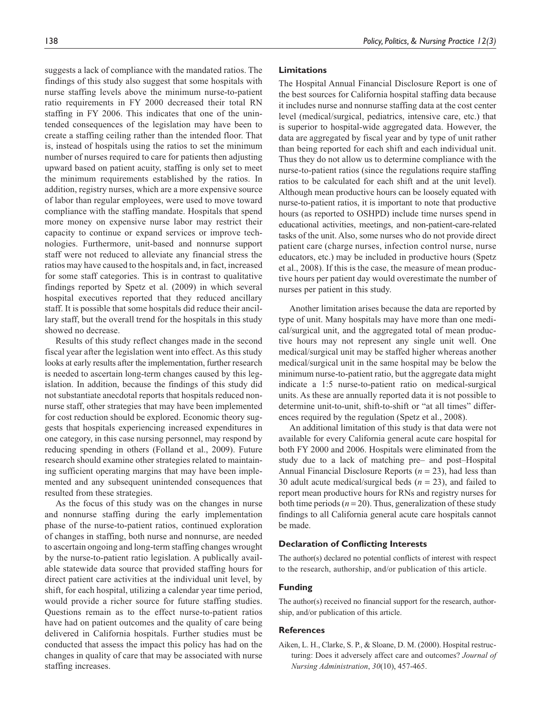suggests a lack of compliance with the mandated ratios. The findings of this study also suggest that some hospitals with nurse staffing levels above the minimum nurse-to-patient ratio requirements in FY 2000 decreased their total RN staffing in FY 2006. This indicates that one of the unintended consequences of the legislation may have been to create a staffing ceiling rather than the intended floor. That is, instead of hospitals using the ratios to set the minimum number of nurses required to care for patients then adjusting upward based on patient acuity, staffing is only set to meet the minimum requirements established by the ratios. In addition, registry nurses, which are a more expensive source of labor than regular employees, were used to move toward compliance with the staffing mandate. Hospitals that spend more money on expensive nurse labor may restrict their capacity to continue or expand services or improve technologies. Furthermore, unit-based and nonnurse support staff were not reduced to alleviate any financial stress the ratios may have caused to the hospitals and, in fact, increased for some staff categories. This is in contrast to qualitative findings reported by Spetz et al. (2009) in which several hospital executives reported that they reduced ancillary staff. It is possible that some hospitals did reduce their ancillary staff, but the overall trend for the hospitals in this study showed no decrease.

Results of this study reflect changes made in the second fiscal year after the legislation went into effect. As this study looks at early results after the implementation, further research is needed to ascertain long-term changes caused by this legislation. In addition, because the findings of this study did not substantiate anecdotal reports that hospitals reduced nonnurse staff, other strategies that may have been implemented for cost reduction should be explored. Economic theory suggests that hospitals experiencing increased expenditures in one category, in this case nursing personnel, may respond by reducing spending in others (Folland et al., 2009). Future research should examine other strategies related to maintaining sufficient operating margins that may have been implemented and any subsequent unintended consequences that resulted from these strategies.

As the focus of this study was on the changes in nurse and nonnurse staffing during the early implementation phase of the nurse-to-patient ratios, continued exploration of changes in staffing, both nurse and nonnurse, are needed to ascertain ongoing and long-term staffing changes wrought by the nurse-to-patient ratio legislation. A publically available statewide data source that provided staffing hours for direct patient care activities at the individual unit level, by shift, for each hospital, utilizing a calendar year time period, would provide a richer source for future staffing studies. Questions remain as to the effect nurse-to-patient ratios have had on patient outcomes and the quality of care being delivered in California hospitals. Further studies must be conducted that assess the impact this policy has had on the changes in quality of care that may be associated with nurse staffing increases.

#### **Limitations**

The Hospital Annual Financial Disclosure Report is one of the best sources for California hospital staffing data because it includes nurse and nonnurse staffing data at the cost center level (medical/surgical, pediatrics, intensive care, etc.) that is superior to hospital-wide aggregated data. However, the data are aggregated by fiscal year and by type of unit rather than being reported for each shift and each individual unit. Thus they do not allow us to determine compliance with the nurse-to-patient ratios (since the regulations require staffing ratios to be calculated for each shift and at the unit level). Although mean productive hours can be loosely equated with nurse-to-patient ratios, it is important to note that productive hours (as reported to OSHPD) include time nurses spend in educational activities, meetings, and non-patient-care-related tasks of the unit. Also, some nurses who do not provide direct patient care (charge nurses, infection control nurse, nurse educators, etc.) may be included in productive hours (Spetz et al., 2008). If this is the case, the measure of mean productive hours per patient day would overestimate the number of nurses per patient in this study.

Another limitation arises because the data are reported by type of unit. Many hospitals may have more than one medical/surgical unit, and the aggregated total of mean productive hours may not represent any single unit well. One medical/surgical unit may be staffed higher whereas another medical/surgical unit in the same hospital may be below the minimum nurse-to-patient ratio, but the aggregate data might indicate a 1:5 nurse-to-patient ratio on medical-surgical units. As these are annually reported data it is not possible to determine unit-to-unit, shift-to-shift or "at all times" differences required by the regulation (Spetz et al., 2008).

An additional limitation of this study is that data were not available for every California general acute care hospital for both FY 2000 and 2006. Hospitals were eliminated from the study due to a lack of matching pre– and post–Hospital Annual Financial Disclosure Reports (*n* = 23), had less than 30 adult acute medical/surgical beds (*n* = 23), and failed to report mean productive hours for RNs and registry nurses for both time periods  $(n = 20)$ . Thus, generalization of these study findings to all California general acute care hospitals cannot be made.

#### **Declaration of Conflicting Interests**

The author(s) declared no potential conflicts of interest with respect to the research, authorship, and/or publication of this article.

#### **Funding**

The author(s) received no financial support for the research, authorship, and/or publication of this article.

#### **References**

Aiken, L. H., Clarke, S. P., & Sloane, D. M. (2000). Hospital restructuring: Does it adversely affect care and outcomes? *Journal of Nursing Administration*, *30*(10), 457-465.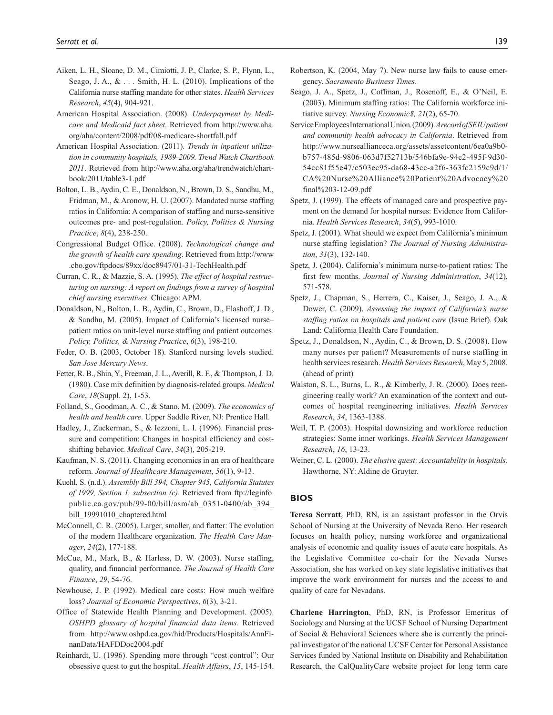- Aiken, L. H., Sloane, D. M., Cimiotti, J. P., Clarke, S. P., Flynn, L., Seago, J. A.,  $\& \dots$  Smith, H. L. (2010). Implications of the California nurse staffing mandate for other states. *Health Services Research*, *45*(4), 904-921.
- American Hospital Association. (2008). *Underpayment by Medicare and Medicaid fact sheet*. Retrieved from http://www.aha. org/aha/content/2008/pdf/08-medicare-shortfall.pdf
- American Hospital Association. (2011). *Trends in inpatient utilization in community hospitals, 1989-2009. Trend Watch Chartbook 2011*. Retrieved from http://www.aha.org/aha/trendwatch/chartbook/2011/table3-1.pdf
- Bolton, L. B., Aydin, C. E., Donaldson, N., Brown, D. S., Sandhu, M., Fridman, M., & Aronow, H. U. (2007). Mandated nurse staffing ratios in California: A comparison of staffing and nurse-sensitive outcomes pre- and post-regulation. *Policy, Politics & Nursing Practice*, *8*(4), 238-250.
- Congressional Budget Office. (2008). *Technological change and the growth of health care spending*. Retrieved from http://www .cbo.gov/ftpdocs/89xx/doc8947/01-31-TechHealth.pdf
- Curran, C. R., & Mazzie, S. A. (1995). *The effect of hospital restructuring on nursing: A report on findings from a survey of hospital chief nursing executives*. Chicago: APM.
- Donaldson, N., Bolton, L. B., Aydin, C., Brown, D., Elashoff, J. D., & Sandhu, M. (2005). Impact of California's licensed nurse– patient ratios on unit-level nurse staffing and patient outcomes. *Policy, Politics, & Nursing Practice*, *6*(3), 198-210.
- Feder, O. B. (2003, October 18). Stanford nursing levels studied. *San Jose Mercury News*.
- Fetter, R. B., Shin, Y., Freeman, J. L., Averill, R. F., & Thompson, J. D. (1980). Case mix definition by diagnosis-related groups. *Medical Care*, *18*(Suppl. 2), 1-53.
- Folland, S., Goodman, A. C., & Stano, M. (2009). *The economics of health and health care*. Upper Saddle River, NJ: Prentice Hall.
- Hadley, J., Zuckerman, S., & Iezzoni, L. I. (1996). Financial pressure and competition: Changes in hospital efficiency and costshifting behavior. *Medical Care*, *34*(3), 205-219.
- Kaufman, N. S. (2011). Changing economics in an era of healthcare reform. *Journal of Healthcare Management*, *56*(1), 9-13.
- Kuehl, S. (n.d.). *Assembly Bill 394, Chapter 945, California Statutes of 1999, Section 1, subsection (c)*. Retrieved from ftp://leginfo. public.ca.gov/pub/99-00/bill/asm/ab\_0351-0400/ab\_394\_ bill 19991010 chaptered.html
- McConnell, C. R. (2005). Larger, smaller, and flatter: The evolution of the modern Healthcare organization. *The Health Care Manager*, *24*(2), 177-188.
- McCue, M., Mark, B., & Harless, D. W. (2003). Nurse staffing, quality, and financial performance. *The Journal of Health Care Finance*, *29*, 54-76.
- Newhouse, J. P. (1992). Medical care costs: How much welfare loss? *Journal of Economic Perspectives*, *6*(3), 3-21.
- Office of Statewide Health Planning and Development. (2005). *OSHPD glossary of hospital financial data items*. Retrieved from http://www.oshpd.ca.gov/hid/Products/Hospitals/AnnFinanData/HAFDDoc2004.pdf
- Reinhardt, U. (1996). Spending more through "cost control": Our obsessive quest to gut the hospital. *Health Affairs*, *15*, 145-154.
- Robertson, K. (2004, May 7). New nurse law fails to cause emergency. *Sacramento Business Times*.
- Seago, J. A., Spetz, J., Coffman, J., Rosenoff, E., & O'Neil, E. (2003). Minimum staffing ratios: The California workforce initiative survey. *Nursing Economic\$, 21*(2), 65-70.
- Service Employees International Union. (2009). *A record of SEIU patient and community health advocacy in California*. Retrieved from http://www.nurseallianceca.org/assets/assetcontent/6ea0a9b0 b757-485d-9806-063d7f52713b/546bfa9e-94e2-495f-9d30- 54cc81f55e47/c503ec95-da68-43cc-a2f6-363fc2159c9d/1/ CA%20Nurse%20Alliance%20Patient%20Advocacy%20 final%203-12-09.pdf
- Spetz, J. (1999). The effects of managed care and prospective payment on the demand for hospital nurses: Evidence from California. *Health Services Research*, *34*(5), 993-1010.
- Spetz, J. (2001). What should we expect from California's minimum nurse staffing legislation? *The Journal of Nursing Administration*, *31*(3), 132-140.
- Spetz, J. (2004). California's minimum nurse-to-patient ratios: The first few months. *Journal of Nursing Administration*, *34*(12), 571-578.
- Spetz, J., Chapman, S., Herrera, C., Kaiser, J., Seago, J. A., & Dower, C. (2009). *Assessing the impact of California's nurse staffing ratios on hospitals and patient care* (Issue Brief). Oak Land: California Health Care Foundation.
- Spetz, J., Donaldson, N., Aydin, C., & Brown, D. S. (2008). How many nurses per patient? Measurements of nurse staffing in health services research. *Health Services Research*, May 5, 2008. (ahead of print)
- Walston, S. L., Burns, L. R., & Kimberly, J. R. (2000). Does reengineering really work? An examination of the context and outcomes of hospital reengineering initiatives. *Health Services Research*, *34*, 1363-1388.
- Weil, T. P. (2003). Hospital downsizing and workforce reduction strategies: Some inner workings. *Health Services Management Research*, *16*, 13-23.
- Weiner, C. L. (2000). *The elusive quest: Accountability in hospitals*. Hawthorne, NY: Aldine de Gruyter.

#### **BIOS**

**Teresa Serratt**, PhD, RN, is an assistant professor in the Orvis School of Nursing at the University of Nevada Reno. Her research focuses on health policy, nursing workforce and organizational analysis of economic and quality issues of acute care hospitals. As the Legislative Committee co-chair for the Nevada Nurses Association, she has worked on key state legislative initiatives that improve the work environment for nurses and the access to and quality of care for Nevadans.

**Charlene Harrington**, PhD, RN, is Professor Emeritus of Sociology and Nursing at the UCSF School of Nursing Department of Social & Behavioral Sciences where she is currently the principal investigator of the national UCSF Center for Personal Assistance Services funded by National Institute on Disability and Rehabilitation Research, the CalQualityCare website project for long term care